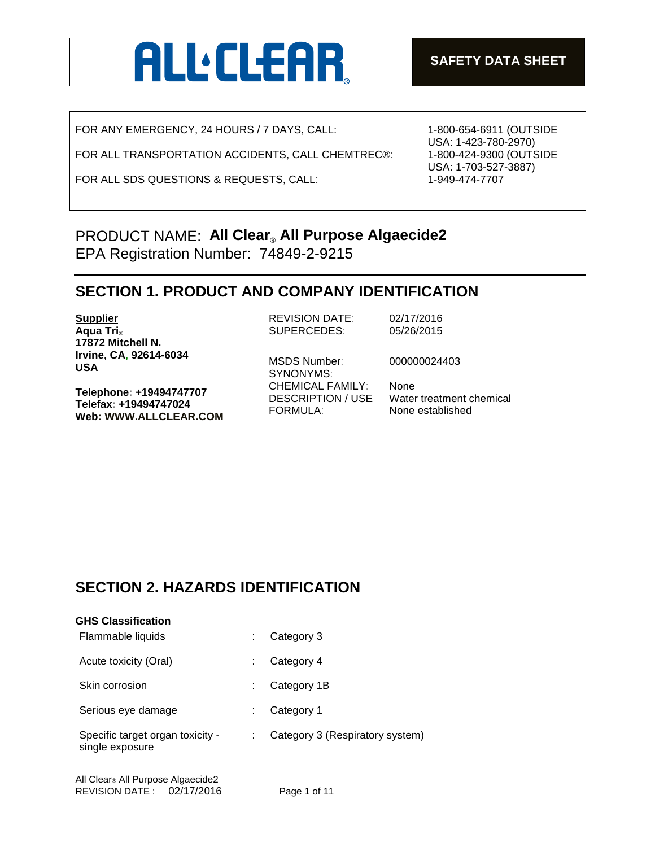

FOR ANY EMERGENCY, 24 HOURS / 7 DAYS, CALL:

FOR ALL TRANSPORTATION ACCIDENTS, CALL CHEMTREC®:

FOR ALL SDS QUESTIONS & REQUESTS, CALL:

1-800-654-6911 (OUTSIDE USA: 1-423-780-2970) 1-800-424-9300 (OUTSIDE USA: 1-703-527-3887) 1-949-474-7707

## PRODUCT NAME: **All Clear**® **All Purpose Algaecide2** EPA Registration Number: 74849-2-9215

### **SECTION 1. PRODUCT AND COMPANY IDENTIFICATION**

**Supplier Aqua Tri**® **17872 Mitchell N. Irvine, CA, 92614-6034 USA**

**Telephone: +19494747707 Telefax: +19494747024 Web: WWW.ALLCLEAR.COM**  REVISION DATE: 02/17/2016 SUPERCEDES: 05/26/2015

SYNONYMS: CHEMICAL FAMILY: None FORMULA: None established

MSDS Number: 000000024403

DESCRIPTION / USE Water treatment chemical

## **SECTION 2. HAZARDS IDENTIFICATION**

| <b>GHS Classification</b>                           |  |                                 |  |
|-----------------------------------------------------|--|---------------------------------|--|
| Flammable liquids                                   |  | Category 3                      |  |
| Acute toxicity (Oral)                               |  | Category 4                      |  |
| Skin corrosion                                      |  | Category 1B                     |  |
| Serious eye damage                                  |  | Category 1                      |  |
| Specific target organ toxicity -<br>single exposure |  | Category 3 (Respiratory system) |  |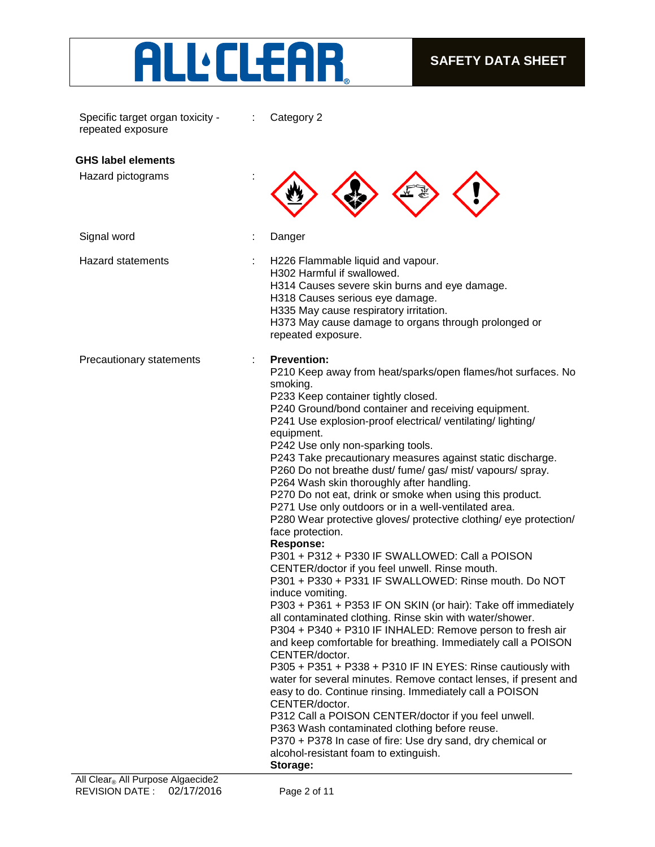

| Specific target organ toxicity -<br>repeated exposure        | Category 2                                                                                                                                                                                                                                                                                                                                                                                                                                                                                                                                                                                                                                                                                                                                                                                                                                                                                                                                                                                                                                                                                                                                                                                                                                                                                                                                                                                                                                                                                                                                                                                                                        |
|--------------------------------------------------------------|-----------------------------------------------------------------------------------------------------------------------------------------------------------------------------------------------------------------------------------------------------------------------------------------------------------------------------------------------------------------------------------------------------------------------------------------------------------------------------------------------------------------------------------------------------------------------------------------------------------------------------------------------------------------------------------------------------------------------------------------------------------------------------------------------------------------------------------------------------------------------------------------------------------------------------------------------------------------------------------------------------------------------------------------------------------------------------------------------------------------------------------------------------------------------------------------------------------------------------------------------------------------------------------------------------------------------------------------------------------------------------------------------------------------------------------------------------------------------------------------------------------------------------------------------------------------------------------------------------------------------------------|
| <b>GHS label elements</b>                                    |                                                                                                                                                                                                                                                                                                                                                                                                                                                                                                                                                                                                                                                                                                                                                                                                                                                                                                                                                                                                                                                                                                                                                                                                                                                                                                                                                                                                                                                                                                                                                                                                                                   |
| Hazard pictograms                                            |                                                                                                                                                                                                                                                                                                                                                                                                                                                                                                                                                                                                                                                                                                                                                                                                                                                                                                                                                                                                                                                                                                                                                                                                                                                                                                                                                                                                                                                                                                                                                                                                                                   |
| Signal word                                                  | Danger<br>÷                                                                                                                                                                                                                                                                                                                                                                                                                                                                                                                                                                                                                                                                                                                                                                                                                                                                                                                                                                                                                                                                                                                                                                                                                                                                                                                                                                                                                                                                                                                                                                                                                       |
| <b>Hazard statements</b>                                     | H226 Flammable liquid and vapour.<br>÷<br>H302 Harmful if swallowed.<br>H314 Causes severe skin burns and eye damage.<br>H318 Causes serious eye damage.<br>H335 May cause respiratory irritation.<br>H373 May cause damage to organs through prolonged or<br>repeated exposure.                                                                                                                                                                                                                                                                                                                                                                                                                                                                                                                                                                                                                                                                                                                                                                                                                                                                                                                                                                                                                                                                                                                                                                                                                                                                                                                                                  |
| Precautionary statements<br>All Close All Durnoso Algoopide? | <b>Prevention:</b><br>P210 Keep away from heat/sparks/open flames/hot surfaces. No<br>smoking.<br>P233 Keep container tightly closed.<br>P240 Ground/bond container and receiving equipment.<br>P241 Use explosion-proof electrical/ ventilating/ lighting/<br>equipment.<br>P242 Use only non-sparking tools.<br>P243 Take precautionary measures against static discharge.<br>P260 Do not breathe dust/ fume/ gas/ mist/ vapours/ spray.<br>P264 Wash skin thoroughly after handling.<br>P270 Do not eat, drink or smoke when using this product.<br>P271 Use only outdoors or in a well-ventilated area.<br>P280 Wear protective gloves/ protective clothing/ eye protection/<br>face protection.<br><b>Response:</b><br>P301 + P312 + P330 IF SWALLOWED: Call a POISON<br>CENTER/doctor if you feel unwell. Rinse mouth.<br>P301 + P330 + P331 IF SWALLOWED: Rinse mouth. Do NOT<br>induce vomiting.<br>P303 + P361 + P353 IF ON SKIN (or hair): Take off immediately<br>all contaminated clothing. Rinse skin with water/shower.<br>P304 + P340 + P310 IF INHALED: Remove person to fresh air<br>and keep comfortable for breathing. Immediately call a POISON<br>CENTER/doctor.<br>P305 + P351 + P338 + P310 IF IN EYES: Rinse cautiously with<br>water for several minutes. Remove contact lenses, if present and<br>easy to do. Continue rinsing. Immediately call a POISON<br>CENTER/doctor.<br>P312 Call a POISON CENTER/doctor if you feel unwell.<br>P363 Wash contaminated clothing before reuse.<br>P370 + P378 In case of fire: Use dry sand, dry chemical or<br>alcohol-resistant foam to extinguish.<br>Storage: |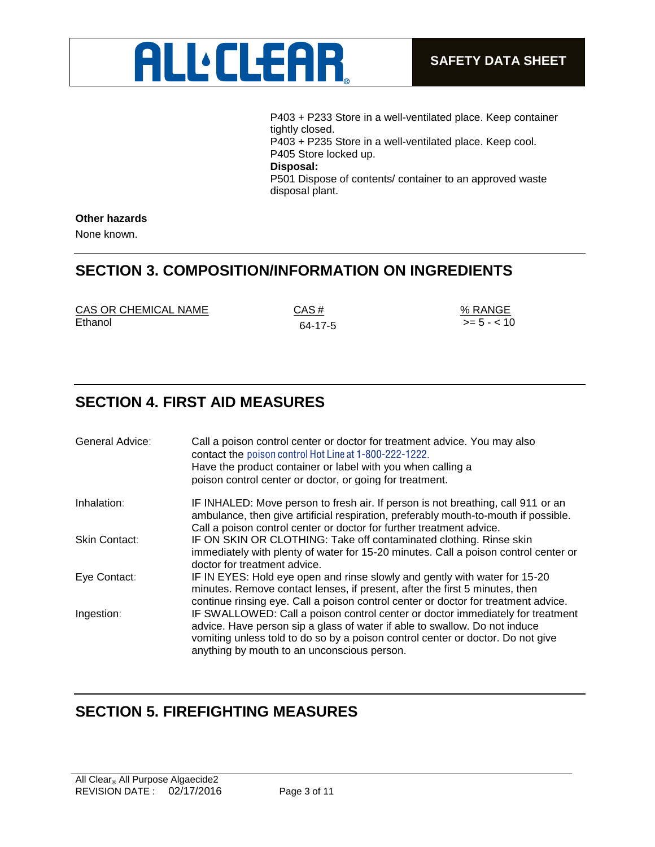

P403 + P233 Store in a well-ventilated place. Keep container tightly closed. P403 + P235 Store in a well-ventilated place. Keep cool. P405 Store locked up. **Disposal:** P501 Dispose of contents/ container to an approved waste disposal plant.

### **Other hazards**

None known.

### **SECTION 3. COMPOSITION/INFORMATION ON INGREDIENTS**

| CAS OR CHEMICAL NAME | CAS#    | % RANGE          |
|----------------------|---------|------------------|
| Ethanol              | 64-17-5 | $\ge$ = 5 - < 10 |

## **SECTION 4. FIRST AID MEASURES**

| General Advice: | Call a poison control center or doctor for treatment advice. You may also<br>contact the poison control Hot Line at 1-800-222-1222.<br>Have the product container or label with you when calling a<br>poison control center or doctor, or going for treatment.                                 |
|-----------------|------------------------------------------------------------------------------------------------------------------------------------------------------------------------------------------------------------------------------------------------------------------------------------------------|
| Inhalation:     | IF INHALED: Move person to fresh air. If person is not breathing, call 911 or an<br>ambulance, then give artificial respiration, preferably mouth-to-mouth if possible.<br>Call a poison control center or doctor for further treatment advice.                                                |
| Skin Contact:   | IF ON SKIN OR CLOTHING: Take off contaminated clothing. Rinse skin<br>immediately with plenty of water for 15-20 minutes. Call a poison control center or<br>doctor for treatment advice.                                                                                                      |
| Eye Contact:    | IF IN EYES: Hold eye open and rinse slowly and gently with water for 15-20<br>minutes. Remove contact lenses, if present, after the first 5 minutes, then<br>continue rinsing eye. Call a poison control center or doctor for treatment advice.                                                |
| Ingestion:      | IF SWALLOWED: Call a poison control center or doctor immediately for treatment<br>advice. Have person sip a glass of water if able to swallow. Do not induce<br>vomiting unless told to do so by a poison control center or doctor. Do not give<br>anything by mouth to an unconscious person. |

## **SECTION 5. FIREFIGHTING MEASURES**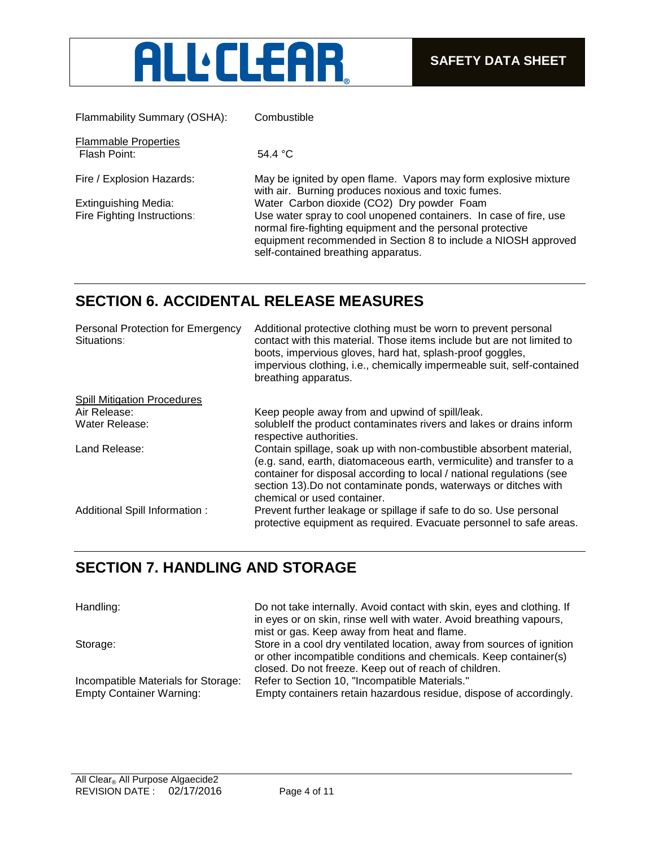

Flammability Summary (OSHA): Combustible Flammable Properties Flash Point: 54.4 °C

Fire / Explosion Hazards: May be ignited by open flame. Vapors may form explosive mixture with air. Burning produces noxious and toxic fumes. Extinguishing Media: Water Carbon dioxide (CO2) Dry powder Foam Fire Fighting Instructions: Use water spray to cool unopened containers. In case of fire, use normal fire-fighting equipment and the personal protective equipment recommended in Section 8 to include a NIOSH approved self-contained breathing apparatus.

## **SECTION 6. ACCIDENTAL RELEASE MEASURES**

| Personal Protection for Emergency<br>Situations: | Additional protective clothing must be worn to prevent personal<br>contact with this material. Those items include but are not limited to<br>boots, impervious gloves, hard hat, splash-proof goggles,<br>impervious clothing, i.e., chemically impermeable suit, self-contained<br>breathing apparatus.                |
|--------------------------------------------------|-------------------------------------------------------------------------------------------------------------------------------------------------------------------------------------------------------------------------------------------------------------------------------------------------------------------------|
| <b>Spill Mitigation Procedures</b>               |                                                                                                                                                                                                                                                                                                                         |
| Air Release:                                     | Keep people away from and upwind of spill/leak.                                                                                                                                                                                                                                                                         |
| Water Release:                                   | solublelf the product contaminates rivers and lakes or drains inform<br>respective authorities.                                                                                                                                                                                                                         |
| Land Release:                                    | Contain spillage, soak up with non-combustible absorbent material,<br>(e.g. sand, earth, diatomaceous earth, vermiculite) and transfer to a<br>container for disposal according to local / national regulations (see<br>section 13). Do not contaminate ponds, waterways or ditches with<br>chemical or used container. |
| Additional Spill Information :                   | Prevent further leakage or spillage if safe to do so. Use personal<br>protective equipment as required. Evacuate personnel to safe areas.                                                                                                                                                                               |

## **SECTION 7. HANDLING AND STORAGE**

Handling: Do not take internally. Avoid contact with skin, eyes and clothing. If in eyes or on skin, rinse well with water. Avoid breathing vapours, mist or gas. Keep away from heat and flame. Storage: Store in a cool dry ventilated location, away from sources of ignition or other incompatible conditions and chemicals. Keep container(s) closed. Do not freeze. Keep out of reach of children. Incompatible Materials for Storage: Refer to Section 10, "Incompatible Materials." Empty Container Warning: Empty containers retain hazardous residue, dispose of accordingly.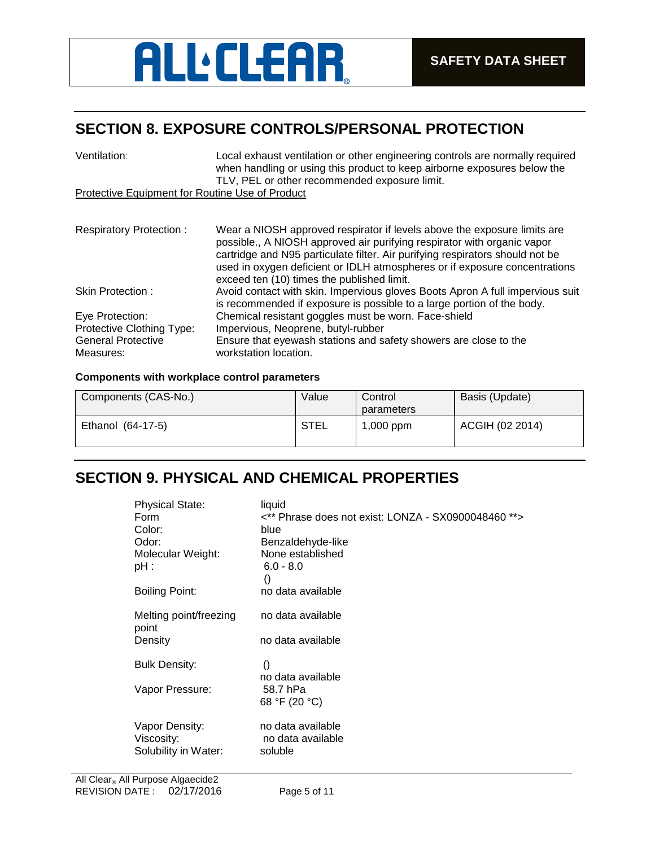# **ALL** CLEAR

## **SECTION 8. EXPOSURE CONTROLS/PERSONAL PROTECTION**

| Ventilation:                                           | Local exhaust ventilation or other engineering controls are normally required<br>when handling or using this product to keep airborne exposures below the<br>TLV, PEL or other recommended exposure limit.                                                                                                                                                       |  |
|--------------------------------------------------------|------------------------------------------------------------------------------------------------------------------------------------------------------------------------------------------------------------------------------------------------------------------------------------------------------------------------------------------------------------------|--|
| <b>Protective Equipment for Routine Use of Product</b> |                                                                                                                                                                                                                                                                                                                                                                  |  |
|                                                        |                                                                                                                                                                                                                                                                                                                                                                  |  |
| <b>Respiratory Protection:</b>                         | Wear a NIOSH approved respirator if levels above the exposure limits are<br>possible., A NIOSH approved air purifying respirator with organic vapor<br>cartridge and N95 particulate filter. Air purifying respirators should not be<br>used in oxygen deficient or IDLH atmospheres or if exposure concentrations<br>exceed ten (10) times the published limit. |  |
| Skin Protection:                                       | Avoid contact with skin. Impervious gloves Boots Apron A full impervious suit<br>is recommended if exposure is possible to a large portion of the body.                                                                                                                                                                                                          |  |
| Eye Protection:                                        | Chemical resistant goggles must be worn. Face-shield                                                                                                                                                                                                                                                                                                             |  |
| Protective Clothing Type:                              | Impervious, Neoprene, butyl-rubber                                                                                                                                                                                                                                                                                                                               |  |
| <b>General Protective</b><br>Measures:                 | Ensure that eyewash stations and safety showers are close to the<br>workstation location.                                                                                                                                                                                                                                                                        |  |

### **Components with workplace control parameters**

| Components (CAS-No.) | Value | Control<br>parameters | Basis (Update)  |
|----------------------|-------|-----------------------|-----------------|
| Ethanol (64-17-5)    | STEL  | $1,000$ ppm           | ACGIH (02 2014) |

## **SECTION 9. PHYSICAL AND CHEMICAL PROPERTIES**

| <b>Physical State:</b>          | liquid                                              |
|---------------------------------|-----------------------------------------------------|
| Form                            | <** Phrase does not exist: LONZA - SX0900048460 **> |
| Color:                          | blue                                                |
| Odor:                           | Benzaldehyde-like                                   |
| Molecular Weight:               | None established                                    |
| pH :                            | $6.0 - 8.0$                                         |
|                                 | $\left( \right)$                                    |
| Boiling Point:                  | no data available                                   |
| Melting point/freezing<br>point | no data available                                   |
| Density                         | no data available                                   |
| <b>Bulk Density:</b>            | $\left( \right)$                                    |
|                                 | no data available                                   |
| Vapor Pressure:                 | 58.7 hPa                                            |
|                                 | 68 °F (20 °C)                                       |
| Vapor Density:                  | no data available                                   |
| Viscosity:                      | no data available                                   |
| Solubility in Water:            | soluble                                             |
|                                 |                                                     |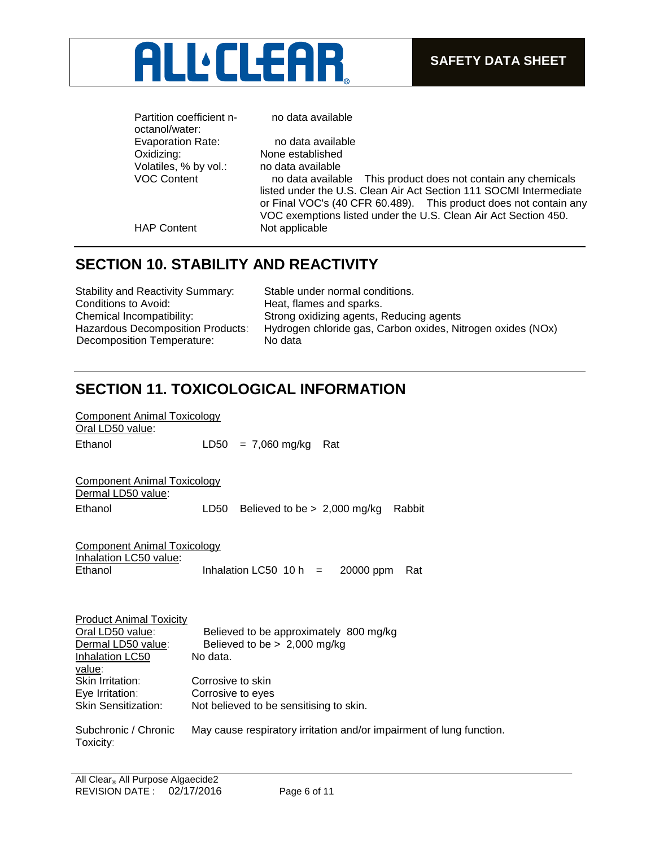

Partition coefficient noctanol/water: Evaporation Rate: no data available Oxidizing: None established Volatiles, % by vol.: no data available

no data available

VOC Content no data available This product does not contain any chemicals listed under the U.S. Clean Air Act Section 111 SOCMI Intermediate or Final VOC's (40 CFR 60.489). This product does not contain any VOC exemptions listed under the U.S. Clean Air Act Section 450. HAP Content Not applicable

Component Animal Toxicology

## **SECTION 10. STABILITY AND REACTIVITY**

| <b>Stability and Reactivity Summary:</b> | Stable under normal conditions.                             |
|------------------------------------------|-------------------------------------------------------------|
| Conditions to Avoid:                     | Heat, flames and sparks.                                    |
| Chemical Incompatibility:                | Strong oxidizing agents, Reducing agents                    |
| <b>Hazardous Decomposition Products:</b> | Hydrogen chloride gas, Carbon oxides, Nitrogen oxides (NOx) |
| Decomposition Temperature:               | No data                                                     |

## **SECTION 11. TOXICOLOGICAL INFORMATION**

| Oral LD50 value:                                         |                                                                      |
|----------------------------------------------------------|----------------------------------------------------------------------|
| Ethanol                                                  | $= 7,060$ mg/kg<br>LD50<br>Rat                                       |
|                                                          |                                                                      |
| <b>Component Animal Toxicology</b><br>Dermal LD50 value: |                                                                      |
| Ethanol                                                  | LD50<br>Believed to be $> 2,000$ mg/kg<br>Rabbit                     |
|                                                          |                                                                      |
| <b>Component Animal Toxicology</b>                       |                                                                      |
| Inhalation LC50 value:                                   |                                                                      |
| Ethanol                                                  | Inhalation LC50 $10 h =$<br>20000 ppm<br>Rat                         |
|                                                          |                                                                      |
|                                                          |                                                                      |
|                                                          |                                                                      |
| <b>Product Animal Toxicity</b><br>Oral LD50 value:       | Believed to be approximately 800 mg/kg                               |
| Dermal LD50 value:                                       | Believed to be $> 2,000$ mg/kg                                       |
| Inhalation LC50                                          | No data.                                                             |
| value:                                                   |                                                                      |
| Skin Irritation:                                         | Corrosive to skin                                                    |
| Eye Irritation:                                          | Corrosive to eyes                                                    |
| Skin Sensitization:                                      | Not believed to be sensitising to skin.                              |
|                                                          |                                                                      |
| Subchronic / Chronic<br>Toxicity:                        | May cause respiratory irritation and/or impairment of lung function. |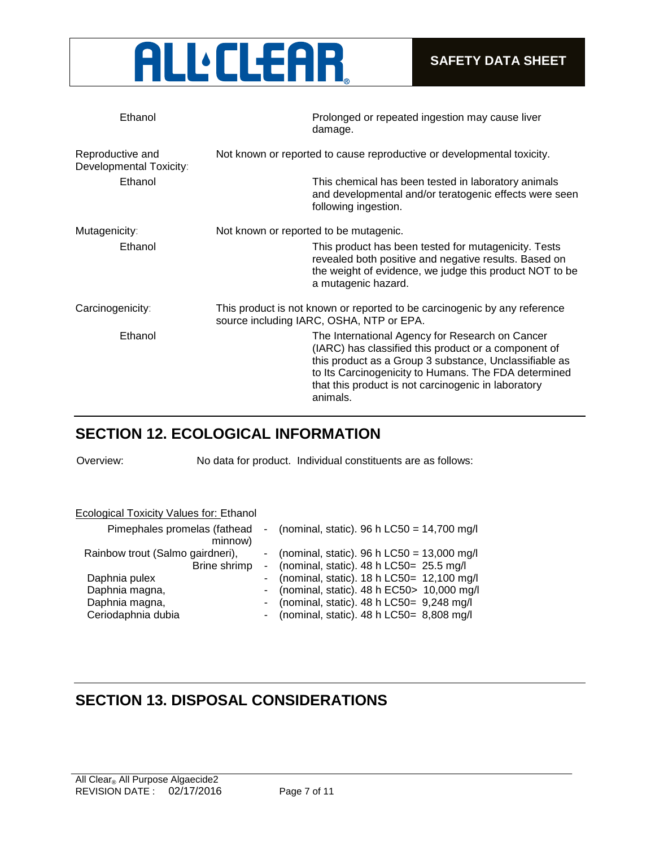

| Ethanol                                     | Prolonged or repeated ingestion may cause liver<br>damage.                                                                                                                                                                                                                                   |
|---------------------------------------------|----------------------------------------------------------------------------------------------------------------------------------------------------------------------------------------------------------------------------------------------------------------------------------------------|
| Reproductive and<br>Developmental Toxicity: | Not known or reported to cause reproductive or developmental toxicity.                                                                                                                                                                                                                       |
| Ethanol                                     | This chemical has been tested in laboratory animals<br>and developmental and/or teratogenic effects were seen<br>following ingestion.                                                                                                                                                        |
| Mutagenicity:                               | Not known or reported to be mutagenic.                                                                                                                                                                                                                                                       |
| Ethanol                                     | This product has been tested for mutagenicity. Tests<br>revealed both positive and negative results. Based on<br>the weight of evidence, we judge this product NOT to be<br>a mutagenic hazard.                                                                                              |
| Carcinogenicity:                            | This product is not known or reported to be carcinogenic by any reference<br>source including IARC, OSHA, NTP or EPA.                                                                                                                                                                        |
| Ethanol                                     | The International Agency for Research on Cancer<br>(IARC) has classified this product or a component of<br>this product as a Group 3 substance, Unclassifiable as<br>to Its Carcinogenicity to Humans. The FDA determined<br>that this product is not carcinogenic in laboratory<br>animals. |

## **SECTION 12. ECOLOGICAL INFORMATION**

Overview: No data for product. Individual constituents are as follows:

| Ecological Toxicity Values for: Ethanol          |                                                                                                 |
|--------------------------------------------------|-------------------------------------------------------------------------------------------------|
| Pimephales promelas (fathead<br>minnow)          | - (nominal, static). 96 h LC50 = $14,700$ mg/l                                                  |
| Rainbow trout (Salmo gairdneri),<br>Brine shrimp | - (nominal, static). 96 h LC50 = $13,000$ mg/l<br>- (nominal, static). $48 h$ LC50= $25.5$ mg/l |
| Daphnia pulex                                    | - (nominal, static). $18 h$ LC50= $12,100$ mg/l                                                 |
| Daphnia magna,                                   | - (nominal, static). $48 h$ EC50 > 10,000 mg/l                                                  |
| Daphnia magna,                                   | - (nominal, static). $48 h$ LC50= $9,248$ mg/l                                                  |
| Ceriodaphnia dubia                               | - (nominal, static). $48 h$ LC50= $8,808$ mg/l                                                  |

## **SECTION 13. DISPOSAL CONSIDERATIONS**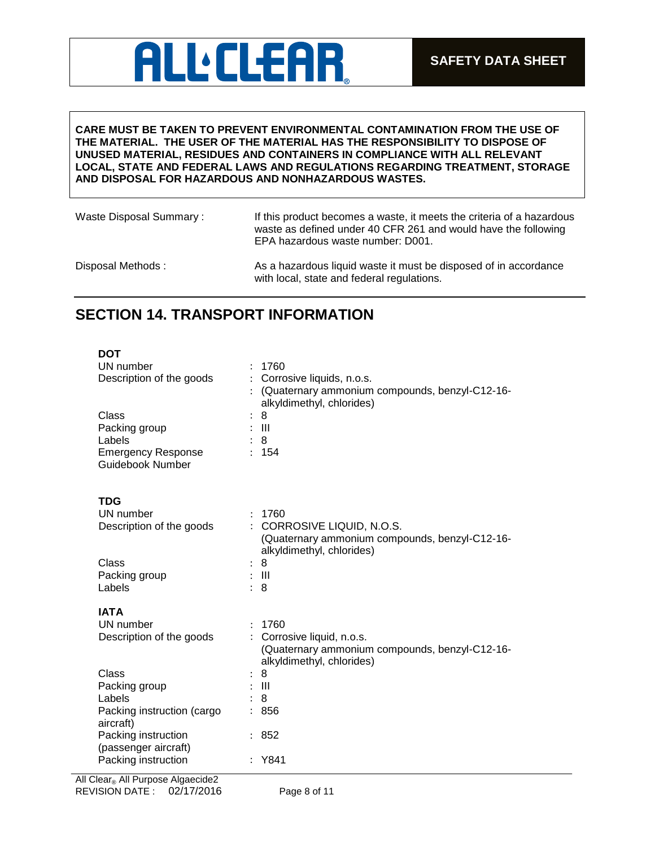## **ALL:CLEAR**

### **CARE MUST BE TAKEN TO PREVENT ENVIRONMENTAL CONTAMINATION FROM THE USE OF THE MATERIAL. THE USER OF THE MATERIAL HAS THE RESPONSIBILITY TO DISPOSE OF UNUSED MATERIAL, RESIDUES AND CONTAINERS IN COMPLIANCE WITH ALL RELEVANT LOCAL, STATE AND FEDERAL LAWS AND REGULATIONS REGARDING TREATMENT, STORAGE AND DISPOSAL FOR HAZARDOUS AND NONHAZARDOUS WASTES.**

| Waste Disposal Summary: | If this product becomes a waste, it meets the criteria of a hazardous<br>waste as defined under 40 CFR 261 and would have the following<br>EPA hazardous waste number: D001. |
|-------------------------|------------------------------------------------------------------------------------------------------------------------------------------------------------------------------|
| Disposal Methods:       | As a hazardous liquid waste it must be disposed of in accordance<br>with local, state and federal regulations.                                                               |

## **SECTION 14. TRANSPORT INFORMATION**

| <b>DOT</b><br>UN number<br>Description of the goods<br>Class<br>Packing group<br>Labels<br><b>Emergency Response</b><br><b>Guidebook Number</b> | 1760<br>Corrosive liquids, n.o.s.<br>(Quaternary ammonium compounds, benzyl-C12-16-<br>alkyldimethyl, chlorides)<br>8<br>$\ddot{\cdot}$<br>$\pm$ 111<br>8<br>: 154                      |
|-------------------------------------------------------------------------------------------------------------------------------------------------|-----------------------------------------------------------------------------------------------------------------------------------------------------------------------------------------|
| <b>TDG</b><br>UN number<br>Description of the goods<br>Class<br>Packing group<br>Labels                                                         | : 1760<br>CORROSIVE LIQUID, N.O.S.<br>$\bullet$<br>(Quaternary ammonium compounds, benzyl-C12-16-<br>alkyldimethyl, chlorides)<br>8<br>$\ddot{\cdot}$<br>$\pm$ 111<br>8<br>$\mathbf{L}$ |
| <b>IATA</b><br>UN number<br>Description of the goods<br>Class<br>Packing group<br>Labels<br>Packing instruction (cargo<br>aircraft)             | 1760<br>Corrosive liquid, n.o.s.<br>(Quaternary ammonium compounds, benzyl-C12-16-<br>alkyldimethyl, chlorides)<br>8<br>$\therefore$ $\parallel$<br>8<br>856                            |
| Packing instruction<br>(passenger aircraft)<br>Packing instruction                                                                              | 852<br>Y841                                                                                                                                                                             |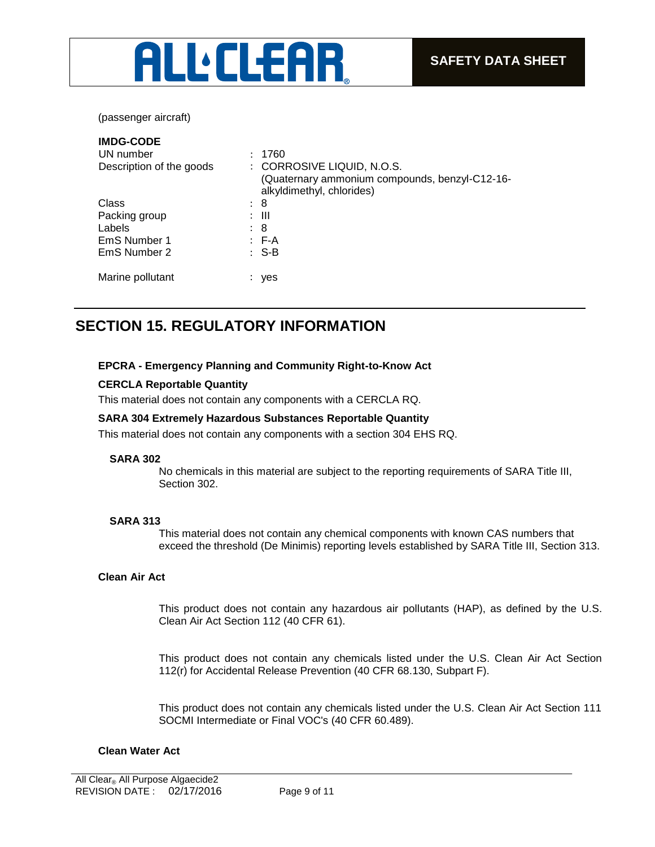

(passenger aircraft)

| <b>IMDG-CODE</b>         |                                                                                                           |
|--------------------------|-----------------------------------------------------------------------------------------------------------|
| UN number                | : 1760                                                                                                    |
| Description of the goods | : CORROSIVE LIQUID, N.O.S.<br>(Quaternary ammonium compounds, benzyl-C12-16-<br>alkyldimethyl, chlorides) |
| Class                    | : 8                                                                                                       |
| Packing group            | : III                                                                                                     |
| Labels                   | : 8                                                                                                       |
| EmS Number 1             | $E - A$                                                                                                   |
| EmS Number 2             | $: S-B$                                                                                                   |
| Marine pollutant         | yes                                                                                                       |

## **SECTION 15. REGULATORY INFORMATION**

### **EPCRA - Emergency Planning and Community Right-to-Know Act**

### **CERCLA Reportable Quantity**

This material does not contain any components with a CERCLA RQ.

### **SARA 304 Extremely Hazardous Substances Reportable Quantity**

This material does not contain any components with a section 304 EHS RQ.

### **SARA 302**

No chemicals in this material are subject to the reporting requirements of SARA Title III, Section 302.

### **SARA 313**

This material does not contain any chemical components with known CAS numbers that exceed the threshold (De Minimis) reporting levels established by SARA Title III, Section 313.

### **Clean Air Act**

This product does not contain any hazardous air pollutants (HAP), as defined by the U.S. Clean Air Act Section 112 (40 CFR 61).

This product does not contain any chemicals listed under the U.S. Clean Air Act Section 112(r) for Accidental Release Prevention (40 CFR 68.130, Subpart F).

This product does not contain any chemicals listed under the U.S. Clean Air Act Section 111 SOCMI Intermediate or Final VOC's (40 CFR 60.489).

### **Clean Water Act**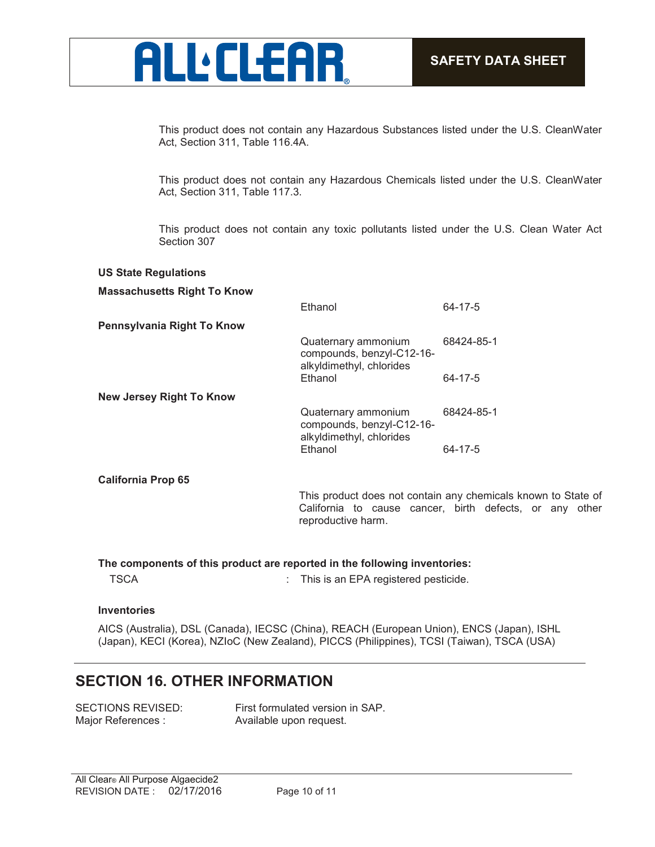

This product does not contain any Hazardous Substances listed under the U.S. CleanWater Act, Section 311, Table 116.4A.

This product does not contain any Hazardous Chemicals listed under the U.S. CleanWater Act, Section 311, Table 117.3.

This product does not contain any toxic pollutants listed under the U.S. Clean Water Act Section 307

### **US State Regulations Massachusetts Right To Know** Ethanol 64-17-5 **Pennsylvania Right To Know** Quaternary ammonium compounds, benzyl-C12-16 alkyldimethyl, chlorides 68424-85-1 64-17-5 **New Jersey Right To Know** Quaternary ammonium compounds, benzyl-C12-16 alkyldimethyl, chlorides 68424-85-1 Ethanol 64-17-5 **California Prop 65** This product does not contain any chemicals known to State of California to cause cancer, birth defects, or any other reproductive harm.

**The components of this product are reported in the following inventories:**

TSCA : This is an EPA registered pesticide.

### **Inventories**

AICS (Australia), DSL (Canada), IECSC (China), REACH (European Union), ENCS (Japan), ISHL (Japan), KECI (Korea), NZIoC (New Zealand), PICCS (Philippines), TCSI (Taiwan), TSCA (USA)

### **SECTION 16. OTHER INFORMATION**

| SECTIONS REVISED:  |
|--------------------|
| Major References : |

First formulated version in SAP. Available upon request.